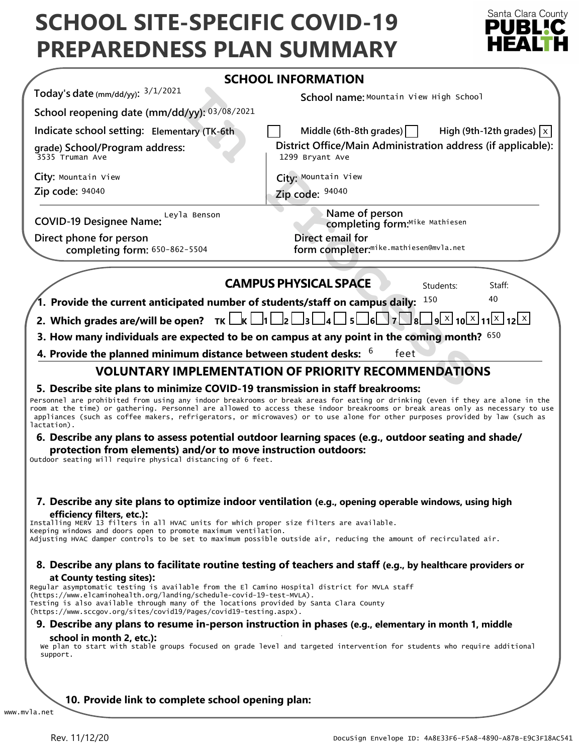# **SCHOOL SITE-SPECIFIC COVID-19 PREPAREDNESS PLAN SUMMARY**



|                                                                                                                                                                                                                                                                                                                                                                                                                                                                                                                                                                                                                              | <b>SCHOOL INFORMATION</b>                                                                                                                                                                                                                                                                                                                                                                         |
|------------------------------------------------------------------------------------------------------------------------------------------------------------------------------------------------------------------------------------------------------------------------------------------------------------------------------------------------------------------------------------------------------------------------------------------------------------------------------------------------------------------------------------------------------------------------------------------------------------------------------|---------------------------------------------------------------------------------------------------------------------------------------------------------------------------------------------------------------------------------------------------------------------------------------------------------------------------------------------------------------------------------------------------|
| Today's date (mm/dd/yy): $3/1/2021$                                                                                                                                                                                                                                                                                                                                                                                                                                                                                                                                                                                          | School name: Mountain View High School                                                                                                                                                                                                                                                                                                                                                            |
| School reopening date (mm/dd/yy): 03/08/2021                                                                                                                                                                                                                                                                                                                                                                                                                                                                                                                                                                                 |                                                                                                                                                                                                                                                                                                                                                                                                   |
| Indicate school setting: Elementary (TK-6th                                                                                                                                                                                                                                                                                                                                                                                                                                                                                                                                                                                  | Middle (6th-8th grades) $\vert$<br>High (9th-12th grades) $ x $                                                                                                                                                                                                                                                                                                                                   |
| grade) School/Program address:<br>3535 Truman Ave                                                                                                                                                                                                                                                                                                                                                                                                                                                                                                                                                                            | District Office/Main Administration address (if applicable):<br>1299 Bryant Ave                                                                                                                                                                                                                                                                                                                   |
| City: Mountain View                                                                                                                                                                                                                                                                                                                                                                                                                                                                                                                                                                                                          | City: Mountain View                                                                                                                                                                                                                                                                                                                                                                               |
| Zip code: 94040                                                                                                                                                                                                                                                                                                                                                                                                                                                                                                                                                                                                              | Zip code: 94040                                                                                                                                                                                                                                                                                                                                                                                   |
| COVID-19 Designee Name: Leyla Benson                                                                                                                                                                                                                                                                                                                                                                                                                                                                                                                                                                                         | Name of person<br>completing form:Mike Mathiesen                                                                                                                                                                                                                                                                                                                                                  |
| Direct phone for person<br>completing form: 650-862-5504                                                                                                                                                                                                                                                                                                                                                                                                                                                                                                                                                                     | Direct email for<br>form completer: <sup>mike.mathiesen@mvla.net</sup>                                                                                                                                                                                                                                                                                                                            |
|                                                                                                                                                                                                                                                                                                                                                                                                                                                                                                                                                                                                                              | <b>CAMPUS PHYSICAL SPACE</b><br>Students:<br>Staff:                                                                                                                                                                                                                                                                                                                                               |
| 1. Provide the current anticipated number of students/staff on campus daily:                                                                                                                                                                                                                                                                                                                                                                                                                                                                                                                                                 | 40<br>150                                                                                                                                                                                                                                                                                                                                                                                         |
| 2. Which grades are/will be open? $TK \Box K \Box 1 \Box 2 \Box 3 \Box 4$                                                                                                                                                                                                                                                                                                                                                                                                                                                                                                                                                    | $\Box$ 5 $\Box$ 6 $\Box$ 7 $\Box$ 8 $\Box$ 9 $\times$ 10 $\times$ 11 $\times$ 12 $\times$                                                                                                                                                                                                                                                                                                         |
|                                                                                                                                                                                                                                                                                                                                                                                                                                                                                                                                                                                                                              | 3. How many individuals are expected to be on campus at any point in the coming month? $650$                                                                                                                                                                                                                                                                                                      |
|                                                                                                                                                                                                                                                                                                                                                                                                                                                                                                                                                                                                                              |                                                                                                                                                                                                                                                                                                                                                                                                   |
| 4. Provide the planned minimum distance between student desks: $6$<br>feet<br><b>VOLUNTARY IMPLEMENTATION OF PRIORITY RECOMMENDATIONS</b>                                                                                                                                                                                                                                                                                                                                                                                                                                                                                    |                                                                                                                                                                                                                                                                                                                                                                                                   |
|                                                                                                                                                                                                                                                                                                                                                                                                                                                                                                                                                                                                                              |                                                                                                                                                                                                                                                                                                                                                                                                   |
| protection from elements) and/or to move instruction outdoors:                                                                                                                                                                                                                                                                                                                                                                                                                                                                                                                                                               | 6. Describe any plans to assess potential outdoor learning spaces (e.g., outdoor seating and shade/                                                                                                                                                                                                                                                                                               |
| efficiency filters, etc.):                                                                                                                                                                                                                                                                                                                                                                                                                                                                                                                                                                                                   | 7. Describe any site plans to optimize indoor ventilation (e.g., opening operable windows, using high<br>Adjusting HVAC damper controls to be set to maximum possible outside air, reducing the amount of recirculated air.                                                                                                                                                                       |
|                                                                                                                                                                                                                                                                                                                                                                                                                                                                                                                                                                                                                              | 8. Describe any plans to facilitate routine testing of teachers and staff (e.g., by healthcare providers or                                                                                                                                                                                                                                                                                       |
| at County testing sites):                                                                                                                                                                                                                                                                                                                                                                                                                                                                                                                                                                                                    |                                                                                                                                                                                                                                                                                                                                                                                                   |
|                                                                                                                                                                                                                                                                                                                                                                                                                                                                                                                                                                                                                              | Personnel are prohibited from using any indoor breakrooms or break areas for eating or drinking (even if they are alone in the<br>room at the time) or gathering. Personnel are allowed to access these indoor breakrooms or break areas only as necessary to use<br>appliances (such as coffee makers, refrigerators, or microwaves) or to use alone for other purposes provided by law (such as |
|                                                                                                                                                                                                                                                                                                                                                                                                                                                                                                                                                                                                                              | 9. Describe any plans to resume in-person instruction in phases (e.g., elementary in month 1, middle                                                                                                                                                                                                                                                                                              |
| lactation).<br>Outdoor seating will require physical distancing of 6 feet.<br>Installing MERV 13 filters in all HVAC units for which proper size filters are available.<br>Keeping windows and doors open to promote maximum ventilation.<br>Regular asymptomatic testing is available from the El Camino Hospital district for MVLA staff<br>(https://www.elcaminohealth.org/landing/schedule-covid-19-test-MVLA).<br>Testing is also available through many of the locations provided by Santa Clara County<br>(https://www.sccgov.org/sites/covid19/Pages/covid19-testing.aspx).<br>school in month 2, etc.):<br>support. | We plan to start with stable groups focused on grade level and targeted intervention for students who require additional                                                                                                                                                                                                                                                                          |
|                                                                                                                                                                                                                                                                                                                                                                                                                                                                                                                                                                                                                              |                                                                                                                                                                                                                                                                                                                                                                                                   |
| 10. Provide link to complete school opening plan:                                                                                                                                                                                                                                                                                                                                                                                                                                                                                                                                                                            |                                                                                                                                                                                                                                                                                                                                                                                                   |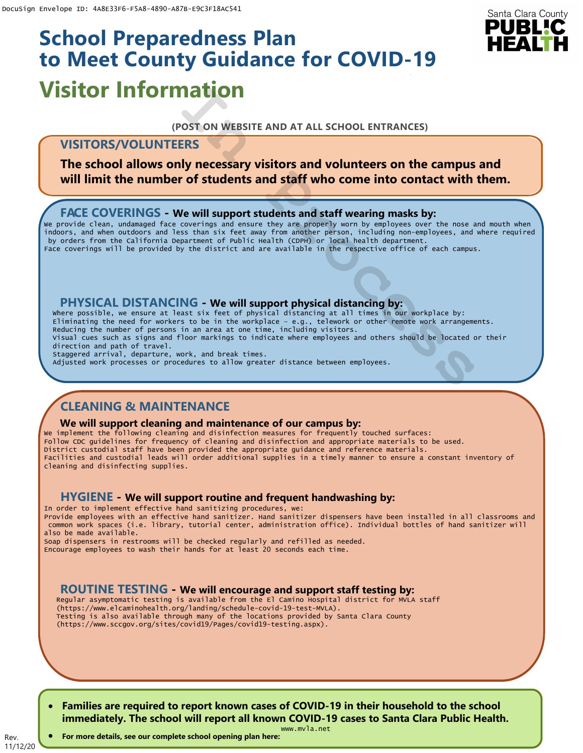# **Visitor Information School Preparedness Plan to Meet County Guidance for COVID-19**

### **(POST ON WEBSITE AND AT ALL SCHOOL ENTRANCES)**

# **VISITORS/VOLUNTEERS**

**The school allows only necessary visitors and volunteers on the campus and will limit the number of students and staff who come into contact with them.**

## **FACE COVERINGS - We will support students and staff wearing masks by:**

We provide clean, undamaged face coverings and ensure they are properly worn by employees over the nose and mouth when indoors, and when outdoors and less than six feet away from another person, including non-employees, and where required by orders from the California Department of Public Health (CDPH) or local health department. Face coverings will be provided by the district and are available in the respective office of each campus.

### **PHYSICAL DISTANCING - We will support physical distancing by:**

Where possible, we ensure at least six feet of physical distancing at all times in our workplace by: Eliminating the need for workers to be in the workplace – e.g., telework or other remote work arrangements. Reducing the number of persons in an area at one time, including visitors. Visual cues such as signs and floor markings to indicate where employees and others should be located or their direction and path of travel. **ISITOR INTORYMOUT (FORTY)**<br>
(POST ON WEBSITE AND AT ALL SCHOOL ENTRANCES)<br>
VISITORS/VOLUNTEERS<br>
The school allows only necessary visitors and volunteers on the campus<br>
will limit the number of students and staff who come

Staggered arrival, departure, work, and break times.<br>Adjusted work processes or procedures to allow greater distance between employees.

# **CLEANING & MAINTENANCE**

#### **We will support cleaning and maintenance of our campus by:**

We implement the following cleaning and disinfection measures for frequently touched surfaces: Follow CDC guidelines for frequency of cleaning and disinfection and appropriate materials to be used. District custodial staff have been provided the appropriate guidance and reference materials. Facilities and custodial leads will order additional supplies in a timely manner to ensure a constant inventory of cleaning and disinfecting supplies.

## **HYGIENE - We will support routine and frequent handwashing by:**

In order to implement effective hand sanitizing procedures, we: Provide employees with an effective hand sanitizer. Hand sanitizer dispensers have been installed in all classrooms and common work spaces (i.e. library, tutorial center, administration office). Individual bottles of hand sanitizer will also be made available.

Soap dispensers in restrooms will be checked regularly and refilled as needed. Encourage employees to wash their hands for at least 20 seconds each time.

# **ROUTINE TESTING - We will encourage and support staff testing by:**

Regular asymptomatic testing is available from the El Camino Hospital district for MVLA staff (https://www.elcaminohealth.org/landing/schedule-covid-19-test-MVLA). Testing is also available through many of the locations provided by Santa Clara County (https://www.sccgov.org/sites/covid19/Pages/covid19-testing.aspx).

• **Families are required to report known cases of COVID-19 in their household to the school immediately. The school will report all known COVID-19 cases to Santa Clara Public Health.**

Rev.

www.mvla.net